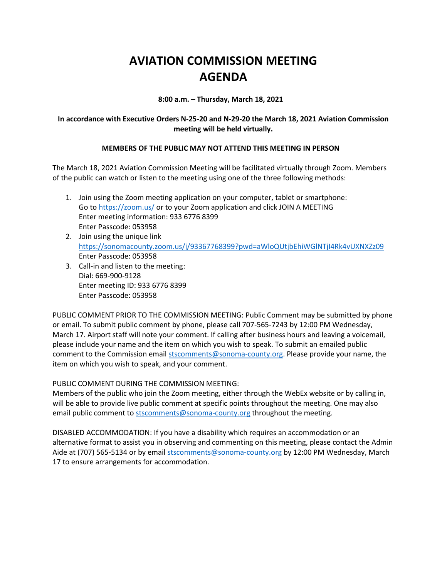## **AVIATION COMMISSION MEETING AGENDA**

**8:00 a.m. – Thursday, March 18, 2021**

## **In accordance with Executive Orders N-25-20 and N-29-20 the March 18, 2021 Aviation Commission meeting will be held virtually.**

## **MEMBERS OF THE PUBLIC MAY NOT ATTEND THIS MEETING IN PERSON**

The March 18, 2021 Aviation Commission Meeting will be facilitated virtually through Zoom. Members of the public can watch or listen to the meeting using one of the three following methods:

- 1. Join using the Zoom meeting application on your computer, tablet or smartphone: Go to<https://zoom.us/> or to your Zoom application and click JOIN A MEETING Enter meeting information: 933 6776 8399 Enter Passcode: 053958
- 2. Join using the unique link <https://sonomacounty.zoom.us/j/93367768399?pwd=aWloQUtjbEhiWGlNTjI4Rk4vUXNXZz09> Enter Passcode: 053958
- 3. Call-in and listen to the meeting: Dial: 669-900-9128 Enter meeting ID: 933 6776 8399 Enter Passcode: 053958

PUBLIC COMMENT PRIOR TO THE COMMISSION MEETING: Public Comment may be submitted by phone or email. To submit public comment by phone, please call 707-565-7243 by 12:00 PM Wednesday, March 17. Airport staff will note your comment. If calling after business hours and leaving a voicemail, please include your name and the item on which you wish to speak. To submit an emailed public comment to the Commission email [stscomments@sonoma-county.org.](mailto:stscomments@sonoma-county.org) Please provide your name, the item on which you wish to speak, and your comment.

PUBLIC COMMENT DURING THE COMMISSION MEETING:

Members of the public who join the Zoom meeting, either through the WebEx website or by calling in, will be able to provide live public comment at specific points throughout the meeting. One may also email public comment to [stscomments@sonoma-county.org](mailto:stscomments@sonoma-county.org) throughout the meeting.

DISABLED ACCOMMODATION: If you have a disability which requires an accommodation or an alternative format to assist you in observing and commenting on this meeting, please contact the Admin Aide at (707) 565-5134 or by email [stscomments@sonoma-county.org](mailto:stscomments@sonoma-county.org) by 12:00 PM Wednesday, March 17 to ensure arrangements for accommodation.